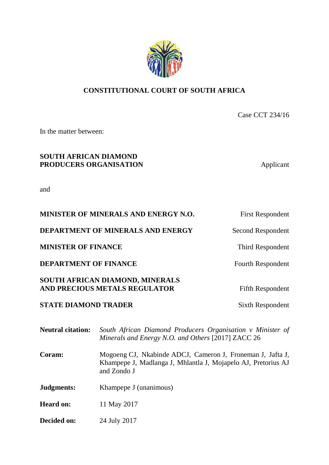# **CONSTITUTIONAL COURT OF SOUTH AFRICA**

Case CCT 234/16

In the matter between:

# **SOUTH AFRICAN DIAMOND PRODUCERS ORGANISATION** Applicant

and

| MINISTER OF MINERALS AND ENERGY N.O.                             | <b>First Respondent</b>  |
|------------------------------------------------------------------|--------------------------|
| DEPARTMENT OF MINERALS AND ENERGY                                | Second Respondent        |
| <b>MINISTER OF FINANCE</b>                                       | Third Respondent         |
| <b>DEPARTMENT OF FINANCE</b>                                     | <b>Fourth Respondent</b> |
| SOUTH AFRICAN DIAMOND, MINERALS<br>AND PRECIOUS METALS REGULATOR | <b>Fifth Respondent</b>  |
| <b>STATE DIAMOND TRADER</b>                                      | <b>Sixth Respondent</b>  |

| <b>Neutral citation:</b> | South African Diamond Producers Organisation v Minister of<br>Minerals and Energy N.O. and Others [2017] ZACC 26                           |  |
|--------------------------|--------------------------------------------------------------------------------------------------------------------------------------------|--|
| Coram:                   | Mogoeng CJ, Nkabinde ADCJ, Cameron J, Froneman J, Jafta J,<br>Khampepe J, Madlanga J, Mhlantla J, Mojapelo AJ, Pretorius AJ<br>and Zondo J |  |
| Judgments:               | Khampepe J (unanimous)                                                                                                                     |  |
| <b>Heard on:</b>         | 11 May 2017                                                                                                                                |  |
| Decided on:              | 24 July 2017                                                                                                                               |  |

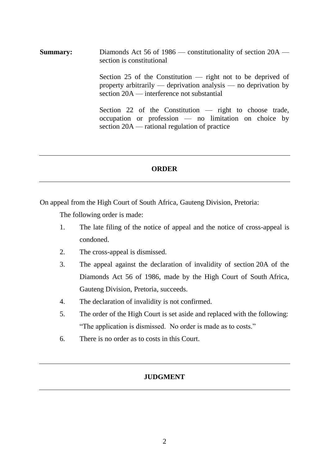**Summary:** Diamonds Act 56 of 1986 — constitutionality of section 20A section is constitutional

> Section 25 of the Constitution — right not to be deprived of property arbitrarily — deprivation analysis — no deprivation by section 20A — interference not substantial

> Section 22 of the Constitution — right to choose trade, occupation or profession — no limitation on choice by section 20A — rational regulation of practice

# **ORDER**

On appeal from the High Court of South Africa, Gauteng Division, Pretoria:

The following order is made:

- 1. The late filing of the notice of appeal and the notice of cross-appeal is condoned.
- 2. The cross-appeal is dismissed.
- 3. The appeal against the declaration of invalidity of section 20A of the Diamonds Act 56 of 1986, made by the High Court of South Africa, Gauteng Division, Pretoria, succeeds.
- 4. The declaration of invalidity is not confirmed.
- 5. The order of the High Court is set aside and replaced with the following: "The application is dismissed. No order is made as to costs."
- 6. There is no order as to costs in this Court.

# **JUDGMENT**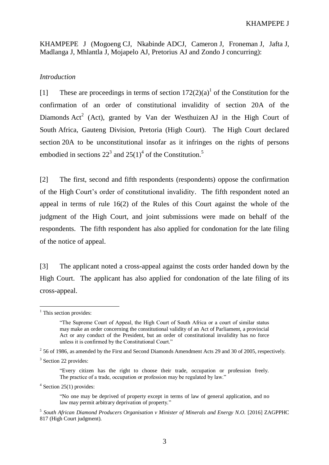KHAMPEPE J (Mogoeng CJ, Nkabinde ADCJ, Cameron J, Froneman J, Jafta J, Madlanga J, Mhlantla J, Mojapelo AJ, Pretorius AJ and Zondo J concurring):

### *Introduction*

[1] These are proceedings in terms of section  $172(2)(a)^{1}$  of the Constitution for the confirmation of an order of constitutional invalidity of section 20A of the Diamonds  $Act^2$  (Act), granted by Van der Westhuizen AJ in the High Court of South Africa, Gauteng Division, Pretoria (High Court). The High Court declared section 20A to be unconstitutional insofar as it infringes on the rights of persons embodied in sections  $22<sup>3</sup>$  and  $25(1)<sup>4</sup>$  of the Constitution.<sup>5</sup>

[2] The first, second and fifth respondents (respondents) oppose the confirmation of the High Court's order of constitutional invalidity. The fifth respondent noted an appeal in terms of rule 16(2) of the Rules of this Court against the whole of the judgment of the High Court, and joint submissions were made on behalf of the respondents. The fifth respondent has also applied for condonation for the late filing of the notice of appeal.

[3] The applicant noted a cross-appeal against the costs order handed down by the High Court. The applicant has also applied for condonation of the late filing of its cross-appeal.

 $\overline{a}$ 

 $4$  Section 25(1) provides:

5 *South African Diamond Producers Organisation v Minister of Minerals and Energy N.O.* [2016] ZAGPPHC 817 (High Court judgment).

 $<sup>1</sup>$  This section provides:</sup>

<sup>&</sup>quot;The Supreme Court of Appeal, the High Court of South Africa or a court of similar status may make an order concerning the constitutional validity of an Act of Parliament, a provincial Act or any conduct of the President, but an order of constitutional invalidity has no force unless it is confirmed by the Constitutional Court."

 $2^{2}$  56 of 1986, as amended by the First and Second Diamonds Amendment Acts 29 and 30 of 2005, respectively.

<sup>&</sup>lt;sup>3</sup> Section 22 provides:

<sup>&</sup>quot;Every citizen has the right to choose their trade, occupation or profession freely. The practice of a trade, occupation or profession may be regulated by law."

<sup>&</sup>quot;No one may be deprived of property except in terms of law of general application, and no law may permit arbitrary deprivation of property."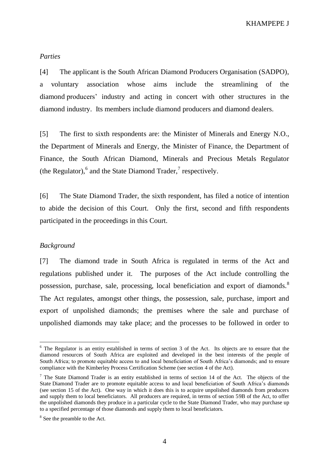#### *Parties*

[4] The applicant is the South African Diamond Producers Organisation (SADPO), a voluntary association whose aims include the streamlining of the diamond producers' industry and acting in concert with other structures in the diamond industry. Its members include diamond producers and diamond dealers.

[5] The first to sixth respondents are: the Minister of Minerals and Energy N.O., the Department of Minerals and Energy, the Minister of Finance, the Department of Finance, the South African Diamond, Minerals and Precious Metals Regulator (the Regulator),  $6$  and the State Diamond Trader,  $7$  respectively.

[6] The State Diamond Trader, the sixth respondent, has filed a notice of intention to abide the decision of this Court. Only the first, second and fifth respondents participated in the proceedings in this Court.

# *Background*

 $\overline{a}$ 

[7] The diamond trade in South Africa is regulated in terms of the Act and regulations published under it. The purposes of the Act include controlling the possession, purchase, sale, processing, local beneficiation and export of diamonds.<sup>8</sup> The Act regulates, amongst other things, the possession, sale, purchase, import and export of unpolished diamonds; the premises where the sale and purchase of unpolished diamonds may take place; and the processes to be followed in order to

 $6$  The Regulator is an entity established in terms of section 3 of the Act. Its objects are to ensure that the diamond resources of South Africa are exploited and developed in the best interests of the people of South Africa; to promote equitable access to and local beneficiation of South Africa's diamonds; and to ensure compliance with the Kimberley Process Certification Scheme (see section 4 of the Act).

 $<sup>7</sup>$  The State Diamond Trader is an entity established in terms of section 14 of the Act. The objects of the</sup> State Diamond Trader are to promote equitable access to and local beneficiation of South Africa's diamonds (see section 15 of the Act). One way in which it does this is to acquire unpolished diamonds from producers and supply them to local beneficiators. All producers are required, in terms of section 59B of the Act, to offer the unpolished diamonds they produce in a particular cycle to the State Diamond Trader, who may purchase up to a specified percentage of those diamonds and supply them to local beneficiators.

<sup>&</sup>lt;sup>8</sup> See the preamble to the Act.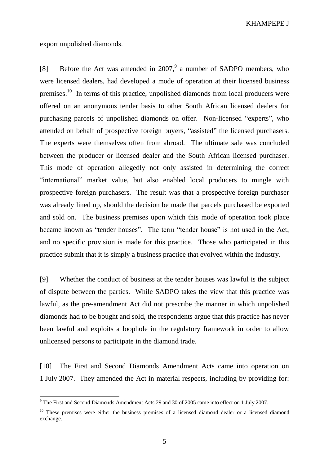export unpolished diamonds.

 $\overline{a}$ 

[8] Before the Act was amended in 2007,<sup>9</sup> a number of SADPO members, who were licensed dealers, had developed a mode of operation at their licensed business premises.<sup>10</sup> In terms of this practice, unpolished diamonds from local producers were offered on an anonymous tender basis to other South African licensed dealers for purchasing parcels of unpolished diamonds on offer. Non-licensed "experts", who attended on behalf of prospective foreign buyers, "assisted" the licensed purchasers. The experts were themselves often from abroad. The ultimate sale was concluded between the producer or licensed dealer and the South African licensed purchaser. This mode of operation allegedly not only assisted in determining the correct "international" market value, but also enabled local producers to mingle with prospective foreign purchasers. The result was that a prospective foreign purchaser was already lined up, should the decision be made that parcels purchased be exported and sold on. The business premises upon which this mode of operation took place became known as "tender houses". The term "tender house" is not used in the Act, and no specific provision is made for this practice. Those who participated in this practice submit that it is simply a business practice that evolved within the industry.

[9] Whether the conduct of business at the tender houses was lawful is the subject of dispute between the parties. While SADPO takes the view that this practice was lawful, as the pre-amendment Act did not prescribe the manner in which unpolished diamonds had to be bought and sold, the respondents argue that this practice has never been lawful and exploits a loophole in the regulatory framework in order to allow unlicensed persons to participate in the diamond trade.

[10] The First and Second Diamonds Amendment Acts came into operation on 1 July 2007. They amended the Act in material respects, including by providing for:

<sup>&</sup>lt;sup>9</sup> The First and Second Diamonds Amendment Acts 29 and 30 of 2005 came into effect on 1 July 2007.

<sup>&</sup>lt;sup>10</sup> These premises were either the business premises of a licensed diamond dealer or a licensed diamond exchange.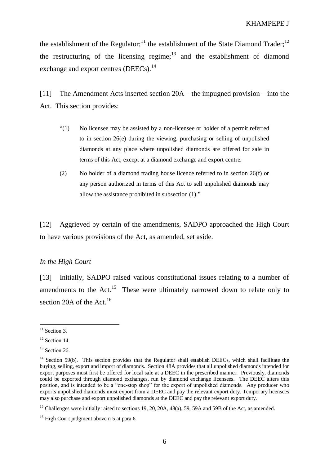the establishment of the Regulator;<sup>11</sup> the establishment of the State Diamond Trader;<sup>12</sup> the restructuring of the licensing regime; $13$  and the establishment of diamond exchange and export centres (DEECs).<sup>14</sup>

[11] The Amendment Acts inserted section 20A – the impugned provision – into the Act. This section provides:

- "(1) No licensee may be assisted by a non-licensee or holder of a permit referred to in section 26(e) during the viewing, purchasing or selling of unpolished diamonds at any place where unpolished diamonds are offered for sale in terms of this Act, except at a diamond exchange and export centre.
- (2) No holder of a diamond trading house licence referred to in section 26(f) or any person authorized in terms of this Act to sell unpolished diamonds may allow the assistance prohibited in subsection (1)."

[12] Aggrieved by certain of the amendments, SADPO approached the High Court to have various provisions of the Act, as amended, set aside.

# *In the High Court*

[13] Initially, SADPO raised various constitutional issues relating to a number of amendments to the Act.<sup>15</sup> These were ultimately narrowed down to relate only to section 20A of the Act.<sup>16</sup>

 $11$  Section 3.

 $12$  Section 14.

 $13$  Section 26.

<sup>&</sup>lt;sup>14</sup> Section 59(b). This section provides that the Regulator shall establish DEECs, which shall facilitate the buying, selling, export and import of diamonds. Section 48A provides that all unpolished diamonds intended for export purposes must first be offered for local sale at a DEEC in the prescribed manner. Previously, diamonds could be exported through diamond exchanges, run by diamond exchange licensees. The DEEC alters this position, and is intended to be a "one-stop shop" for the export of unpolished diamonds. Any producer who exports unpolished diamonds must export from a DEEC and pay the relevant export duty. Temporary licensees may also purchase and export unpolished diamonds at the DEEC and pay the relevant export duty.

<sup>&</sup>lt;sup>15</sup> Challenges were initially raised to sections 19, 20, 20A, 48(a), 59, 59A and 59B of the Act, as amended.

 $16$  High Court judgment above n 5 at para 6.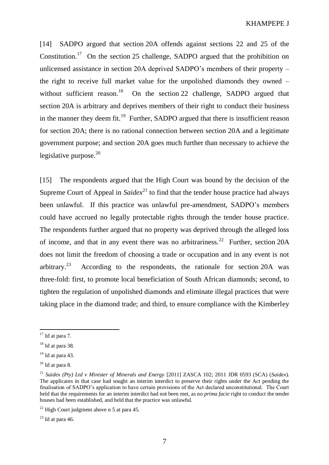[14] SADPO argued that section 20A offends against sections 22 and 25 of the Constitution.<sup>17</sup> On the section 25 challenge, SADPO argued that the prohibition on unlicensed assistance in section 20A deprived SADPO's members of their property – the right to receive full market value for the unpolished diamonds they owned – without sufficient reason.<sup>18</sup> On the section 22 challenge, SADPO argued that section 20A is arbitrary and deprives members of their right to conduct their business in the manner they deem fit.<sup>19</sup> Further, SADPO argued that there is insufficient reason for section 20A; there is no rational connection between section 20A and a legitimate government purpose; and section 20A goes much further than necessary to achieve the legislative purpose. $20$ 

[15] The respondents argued that the High Court was bound by the decision of the Supreme Court of Appeal in  $Saidex<sup>21</sup>$  to find that the tender house practice had always been unlawful. If this practice was unlawful pre-amendment, SADPO's members could have accrued no legally protectable rights through the tender house practice. The respondents further argued that no property was deprived through the alleged loss of income, and that in any event there was no arbitrariness.<sup>22</sup> Further, section 20A does not limit the freedom of choosing a trade or occupation and in any event is not arbitrary.<sup>23</sup> According to the respondents, the rationale for section 20A was three-fold: first, to promote local beneficiation of South African diamonds; second, to tighten the regulation of unpolished diamonds and eliminate illegal practices that were taking place in the diamond trade; and third, to ensure compliance with the Kimberley

 $17$  Id at para 7.

 $18$  Id at para 38.

 $19$  Id at para 43.

 $20$  Id at para 8.

<sup>21</sup> *Saidex (Pty) Ltd v Minister of Minerals and Energy* [2011] ZASCA 102; 2011 JDR 0593 (SCA) (*Saidex*). The applicants in that case had sought an interim interdict to preserve their rights under the Act pending the finalisation of SADPO's application to have certain provisions of the Act declared unconstitutional. The Court held that the requirements for an interim interdict had not been met, as no *prima facie* right to conduct the tender houses had been established, and held that the practice was unlawful.

 $22$  High Court judgment above n 5 at para 45.

 $23$  Id at para 46.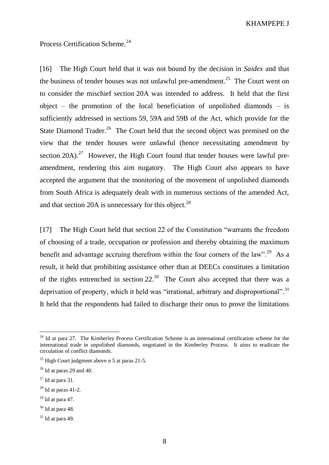Process Certification Scheme.<sup>24</sup>

[16] The High Court held that it was not bound by the decision in *Saidex* and that the business of tender houses was not unlawful pre-amendment.<sup>25</sup> The Court went on to consider the mischief section 20A was intended to address. It held that the first object – the promotion of the local beneficiation of unpolished diamonds – is sufficiently addressed in sections 59, 59A and 59B of the Act, which provide for the State Diamond Trader.<sup>26</sup> The Court held that the second object was premised on the view that the tender houses were unlawful (hence necessitating amendment by section  $20A$ ).<sup>27</sup> However, the High Court found that tender houses were lawful preamendment, rendering this aim nugatory. The High Court also appears to have accepted the argument that the monitoring of the movement of unpolished diamonds from South Africa is adequately dealt with in numerous sections of the amended Act, and that section 20A is unnecessary for this object. $^{28}$ 

[17] The High Court held that section 22 of the Constitution "warrants the freedom of choosing of a trade, occupation or profession and thereby obtaining the maximum benefit and advantage accruing therefrom within the four corners of the  $law$ <sup>29</sup>. As a result, it held that prohibiting assistance other than at DEECs constitutes a limitation of the rights entrenched in section  $22<sup>30</sup>$  The Court also accepted that there was a deprivation of property, which it held was "irrational, arbitrary and disproportional".<sup>31</sup> It held that the respondents had failed to discharge their onus to prove the limitations

<sup>&</sup>lt;sup>24</sup> Id at para 27. The Kimberley Process Certification Scheme is an international certification scheme for the international trade in unpolished diamonds, negotiated in the Kimberley Process. It aims to eradicate the circulation of conflict diamonds.

<sup>&</sup>lt;sup>25</sup> High Court judgment above n 5 at paras 21-5.

 $26$  Id at paras 29 and 40.

 $27$  Id at para 31.

 $28$  Id at paras 41-2.

 $29$  Id at para 47.

 $30$  Id at para 48.

 $31$  Id at para 49.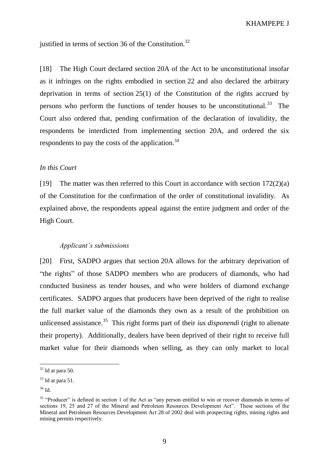justified in terms of section 36 of the Constitution.<sup>32</sup>

[18] The High Court declared section 20A of the Act to be unconstitutional insofar as it infringes on the rights embodied in section 22 and also declared the arbitrary deprivation in terms of section 25(1) of the Constitution of the rights accrued by persons who perform the functions of tender houses to be unconstitutional.<sup>33</sup> The Court also ordered that, pending confirmation of the declaration of invalidity, the respondents be interdicted from implementing section 20A, and ordered the six respondents to pay the costs of the application.<sup>34</sup>

## *In this Court*

[19] The matter was then referred to this Court in accordance with section 172(2)(a) of the Constitution for the confirmation of the order of constitutional invalidity. As explained above, the respondents appeal against the entire judgment and order of the High Court.

#### *Applicant's submissions*

[20] First, SADPO argues that section 20A allows for the arbitrary deprivation of "the rights" of those SADPO members who are producers of diamonds, who had conducted business as tender houses, and who were holders of diamond exchange certificates. SADPO argues that producers have been deprived of the right to realise the full market value of the diamonds they own as a result of the prohibition on unlicensed assistance.<sup>35</sup> This right forms part of their *ius disponendi* (right to alienate their property). Additionally, dealers have been deprived of their right to receive full market value for their diamonds when selling, as they can only market to local

 $32$  Id at para 50.

 $33$  Id at para 51.

<sup>34</sup> Id.

<sup>&</sup>lt;sup>35</sup> "Producer" is defined in section 1 of the Act as "any person entitled to win or recover diamonds in terms of sections 19, 25 and 27 of the Mineral and Petroleum Resources Development Act". These sections of the Mineral and Petroleum Resources Development Act 28 of 2002 deal with prospecting rights, mining rights and mining permits respectively.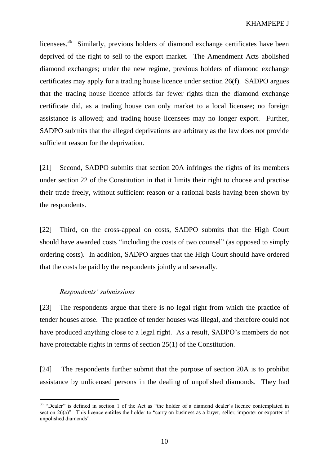licensees.<sup>36</sup> Similarly, previous holders of diamond exchange certificates have been deprived of the right to sell to the export market. The Amendment Acts abolished diamond exchanges; under the new regime, previous holders of diamond exchange certificates may apply for a trading house licence under section 26(f). SADPO argues that the trading house licence affords far fewer rights than the diamond exchange certificate did, as a trading house can only market to a local licensee; no foreign assistance is allowed; and trading house licensees may no longer export. Further, SADPO submits that the alleged deprivations are arbitrary as the law does not provide sufficient reason for the deprivation.

[21] Second, SADPO submits that section 20A infringes the rights of its members under section 22 of the Constitution in that it limits their right to choose and practise their trade freely, without sufficient reason or a rational basis having been shown by the respondents.

[22] Third, on the cross-appeal on costs, SADPO submits that the High Court should have awarded costs "including the costs of two counsel" (as opposed to simply ordering costs). In addition, SADPO argues that the High Court should have ordered that the costs be paid by the respondents jointly and severally.

#### *Respondents' submissions*

 $\overline{a}$ 

[23] The respondents argue that there is no legal right from which the practice of tender houses arose. The practice of tender houses was illegal, and therefore could not have produced anything close to a legal right. As a result, SADPO's members do not have protectable rights in terms of section 25(1) of the Constitution.

[24] The respondents further submit that the purpose of section 20A is to prohibit assistance by unlicensed persons in the dealing of unpolished diamonds. They had

<sup>&</sup>lt;sup>36</sup> "Dealer" is defined in section 1 of the Act as "the holder of a diamond dealer's licence contemplated in section 26(a)". This licence entitles the holder to "carry on business as a buyer, seller, importer or exporter of unpolished diamonds".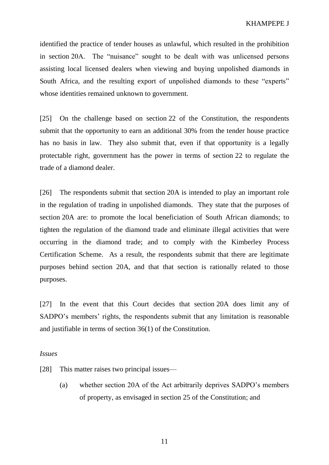identified the practice of tender houses as unlawful, which resulted in the prohibition in section 20A. The "nuisance" sought to be dealt with was unlicensed persons assisting local licensed dealers when viewing and buying unpolished diamonds in South Africa, and the resulting export of unpolished diamonds to these "experts" whose identities remained unknown to government.

[25] On the challenge based on section 22 of the Constitution, the respondents submit that the opportunity to earn an additional 30% from the tender house practice has no basis in law. They also submit that, even if that opportunity is a legally protectable right, government has the power in terms of section 22 to regulate the trade of a diamond dealer.

[26] The respondents submit that section 20A is intended to play an important role in the regulation of trading in unpolished diamonds. They state that the purposes of section 20A are: to promote the local beneficiation of South African diamonds; to tighten the regulation of the diamond trade and eliminate illegal activities that were occurring in the diamond trade; and to comply with the Kimberley Process Certification Scheme. As a result, the respondents submit that there are legitimate purposes behind section 20A, and that that section is rationally related to those purposes.

[27] In the event that this Court decides that section 20A does limit any of SADPO's members' rights, the respondents submit that any limitation is reasonable and justifiable in terms of section 36(1) of the Constitution.

*Issues*

[28] This matter raises two principal issues—

(a) whether section 20A of the Act arbitrarily deprives SADPO's members of property, as envisaged in section 25 of the Constitution; and

11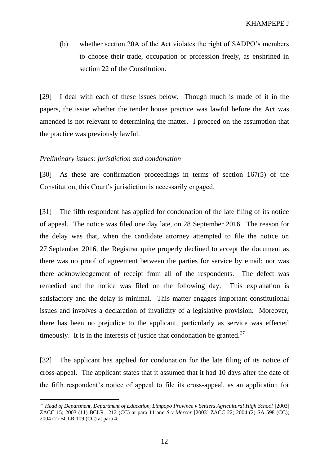(b) whether section 20A of the Act violates the right of SADPO's members to choose their trade, occupation or profession freely, as enshrined in section 22 of the Constitution.

[29] I deal with each of these issues below. Though much is made of it in the papers, the issue whether the tender house practice was lawful before the Act was amended is not relevant to determining the matter. I proceed on the assumption that the practice was previously lawful.

#### *Preliminary issues: jurisdiction and condonation*

[30] As these are confirmation proceedings in terms of section 167(5) of the Constitution, this Court's jurisdiction is necessarily engaged.

[31] The fifth respondent has applied for condonation of the late filing of its notice of appeal. The notice was filed one day late, on 28 September 2016. The reason for the delay was that, when the candidate attorney attempted to file the notice on 27 September 2016, the Registrar quite properly declined to accept the document as there was no proof of agreement between the parties for service by email; nor was there acknowledgement of receipt from all of the respondents. The defect was remedied and the notice was filed on the following day. This explanation is satisfactory and the delay is minimal. This matter engages important constitutional issues and involves a declaration of invalidity of a legislative provision. Moreover, there has been no prejudice to the applicant, particularly as service was effected timeously. It is in the interests of justice that condonation be granted.<sup>37</sup>

[32] The applicant has applied for condonation for the late filing of its notice of cross-appeal. The applicant states that it assumed that it had 10 days after the date of the fifth respondent's notice of appeal to file its cross-appeal, as an application for

 $\overline{a}$ <sup>37</sup> Head of Department, Department of Education, Limpopo Province v Settlers Agricultural High School [2003] ZACC 15; 2003 (11) BCLR 1212 (CC) at para 11 and *S v Mercer* [2003] ZACC 22; 2004 (2) SA 598 (CC); 2004 (2) BCLR 109 (CC) at para 4.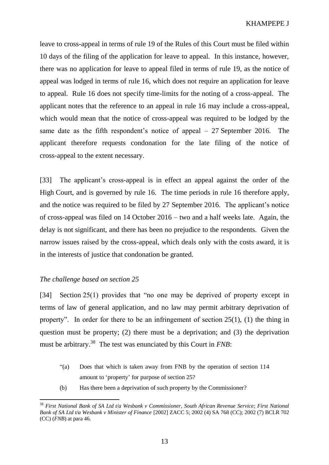leave to cross-appeal in terms of rule 19 of the Rules of this Court must be filed within 10 days of the filing of the application for leave to appeal. In this instance, however, there was no application for leave to appeal filed in terms of rule 19, as the notice of appeal was lodged in terms of rule 16, which does not require an application for leave to appeal. Rule 16 does not specify time-limits for the noting of a cross-appeal. The applicant notes that the reference to an appeal in rule 16 may include a cross-appeal, which would mean that the notice of cross-appeal was required to be lodged by the same date as the fifth respondent's notice of appeal  $-27$  September 2016. The applicant therefore requests condonation for the late filing of the notice of cross-appeal to the extent necessary.

[33] The applicant's cross-appeal is in effect an appeal against the order of the High Court, and is governed by rule 16. The time periods in rule 16 therefore apply, and the notice was required to be filed by 27 September 2016. The applicant's notice of cross-appeal was filed on 14 October 2016 – two and a half weeks late. Again, the delay is not significant, and there has been no prejudice to the respondents. Given the narrow issues raised by the cross-appeal, which deals only with the costs award, it is in the interests of justice that condonation be granted.

### *The challenge based on section 25*

 $\overline{a}$ 

[34] Section 25(1) provides that "no one may be deprived of property except in terms of law of general application, and no law may permit arbitrary deprivation of property". In order for there to be an infringement of section 25(1), (1) the thing in question must be property; (2) there must be a deprivation; and (3) the deprivation must be arbitrary.<sup>38</sup> The test was enunciated by this Court in *FNB*:

- "(a) Does that which is taken away from FNB by the operation of section 114 amount to 'property' for purpose of section 25?
- (b) Has there been a deprivation of such property by the Commissioner?

<sup>38</sup> *First National Bank of SA Ltd t/a Wesbank v Commissioner, South African Revenue Service; First National Bank of SA Ltd t/a Wesbank v Minister of Finance* [2002] ZACC 5; 2002 (4) SA 768 (CC); 2002 (7) BCLR 702 (CC) (*FNB*) at para 46.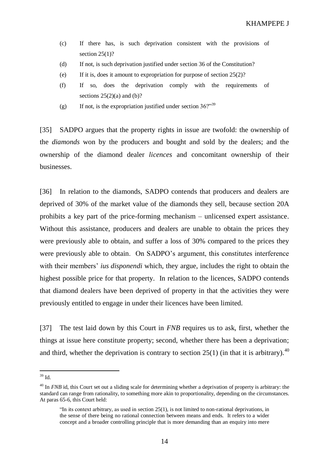- (c) If there has, is such deprivation consistent with the provisions of section  $25(1)$ ?
- (d) If not, is such deprivation justified under section 36 of the Constitution?
- (e) If it is, does it amount to expropriation for purpose of section  $25(2)$ ?
- (f) If so, does the deprivation comply with the requirements of sections  $25(2)(a)$  and  $(b)$ ?
- (g) If not, is the expropriation justified under section  $36$ ?"<sup>39</sup>

[35] SADPO argues that the property rights in issue are twofold: the ownership of the *diamonds* won by the producers and bought and sold by the dealers; and the ownership of the diamond dealer *licences* and concomitant ownership of their businesses.

[36] In relation to the diamonds, SADPO contends that producers and dealers are deprived of 30% of the market value of the diamonds they sell, because section 20A prohibits a key part of the price-forming mechanism – unlicensed expert assistance. Without this assistance, producers and dealers are unable to obtain the prices they were previously able to obtain, and suffer a loss of 30% compared to the prices they were previously able to obtain. On SADPO's argument, this constitutes interference with their members' *ius disponendi* which, they argue, includes the right to obtain the highest possible price for that property. In relation to the licences, SADPO contends that diamond dealers have been deprived of property in that the activities they were previously entitled to engage in under their licences have been limited.

[37] The test laid down by this Court in *FNB* requires us to ask, first, whether the things at issue here constitute property; second, whether there has been a deprivation; and third, whether the deprivation is contrary to section 25(1) (in that it is arbitrary).<sup>40</sup>

 $39$  Id.

<sup>&</sup>lt;sup>40</sup> In *FNB* id, this Court set out a sliding scale for determining whether a deprivation of property is arbitrary: the standard can range from rationality, to something more akin to proportionality, depending on the circumstances. At paras 65-6, this Court held:

<sup>&</sup>quot;In its context arbitrary, as used in section 25(1), is not limited to non-rational deprivations, in the sense of there being no rational connection between means and ends. It refers to a wider concept and a broader controlling principle that is more demanding than an enquiry into mere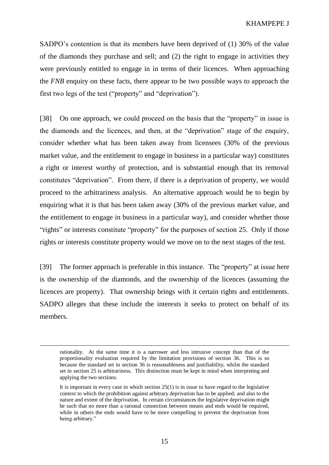SADPO's contention is that its members have been deprived of (1) 30% of the value of the diamonds they purchase and sell; and (2) the right to engage in activities they were previously entitled to engage in in terms of their licences. When approaching the *FNB* enquiry on these facts, there appear to be two possible ways to approach the first two legs of the test ("property" and "deprivation").

[38] On one approach, we could proceed on the basis that the "property" in issue is the diamonds and the licences, and then, at the "deprivation" stage of the enquiry, consider whether what has been taken away from licensees (30% of the previous market value, and the entitlement to engage in business in a particular way) constitutes a right or interest worthy of protection, and is substantial enough that its removal constitutes "deprivation". From there, if there is a deprivation of property, we would proceed to the arbitrariness analysis. An alternative approach would be to begin by enquiring what it is that has been taken away (30% of the previous market value, and the entitlement to engage in business in a particular way), and consider whether those "rights" or interests constitute "property" for the purposes of section 25. Only if those rights or interests constitute property would we move on to the next stages of the test.

[39] The former approach is preferable in this instance. The "property" at issue here is the ownership of the diamonds, and the ownership of the licences (assuming the licences are property). That ownership brings with it certain rights and entitlements. SADPO alleges that these include the interests it seeks to protect on behalf of its members.

rationality. At the same time it is a narrower and less intrusive concept than that of the proportionality evaluation required by the limitation provisions of section 36. This is so because the standard set in section 36 is reasonableness and justifiability, whilst the standard set in section 25 is arbitrariness. This distinction must be kept in mind when interpreting and applying the two sections.

It is important in every case in which section  $25(1)$  is in issue to have regard to the legislative context to which the prohibition against arbitrary deprivation has to be applied; and also to the nature and extent of the deprivation. In certain circumstances the legislative deprivation might be such that no more than a rational connection between means and ends would be required, while in others the ends would have to be more compelling to prevent the deprivation from being arbitrary."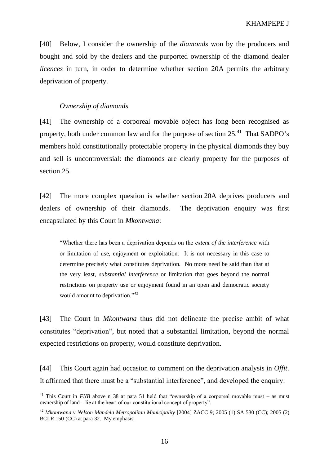[40] Below, I consider the ownership of the *diamonds* won by the producers and bought and sold by the dealers and the purported ownership of the diamond dealer *licences* in turn, in order to determine whether section 20A permits the arbitrary deprivation of property.

#### *Ownership of diamonds*

 $\overline{a}$ 

[41] The ownership of a corporeal movable object has long been recognised as property, both under common law and for the purpose of section  $25.^{41}$  That SADPO's members hold constitutionally protectable property in the physical diamonds they buy and sell is uncontroversial: the diamonds are clearly property for the purposes of section 25.

[42] The more complex question is whether section 20A deprives producers and dealers of ownership of their diamonds. The deprivation enquiry was first encapsulated by this Court in *Mkontwana*:

"Whether there has been a deprivation depends on the *extent of the interference* with or limitation of use, enjoyment or exploitation. It is not necessary in this case to determine precisely what constitutes deprivation. No more need be said than that at the very least, *substantial interference* or limitation that goes beyond the normal restrictions on property use or enjoyment found in an open and democratic society would amount to deprivation."<sup>42</sup>

[43] The Court in *Mkontwana* thus did not delineate the precise ambit of what constitutes "deprivation", but noted that a substantial limitation, beyond the normal expected restrictions on property, would constitute deprivation.

[44] This Court again had occasion to comment on the deprivation analysis in *Offit*. It affirmed that there must be a "substantial interference", and developed the enquiry:

<sup>&</sup>lt;sup>41</sup> This Court in *FNB* above n 38 at para 51 held that "ownership of a corporeal movable must – as must ownership of land – lie at the heart of our constitutional concept of property".

<sup>42</sup> *Mkontwana v Nelson Mandela Metropolitan Municipality* [2004] ZACC 9; 2005 (1) SA 530 (CC); 2005 (2) BCLR 150 (CC) at para 32. My emphasis.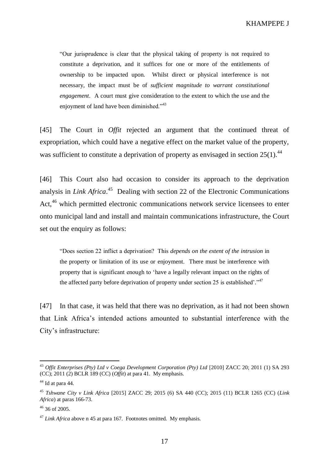"Our jurisprudence is clear that the physical taking of property is not required to constitute a deprivation, and it suffices for one or more of the entitlements of ownership to be impacted upon. Whilst direct or physical interference is not necessary, the impact must be of *sufficient magnitude to warrant constitutional engagement*. A court must give consideration to the extent to which the use and the enjoyment of land have been diminished."<sup>43</sup>

[45] The Court in *Offit* rejected an argument that the continued threat of expropriation, which could have a negative effect on the market value of the property, was sufficient to constitute a deprivation of property as envisaged in section  $25(1)$ .<sup>44</sup>

[46] This Court also had occasion to consider its approach to the deprivation analysis in *Link Africa*. 45 Dealing with section 22 of the Electronic Communications Act,<sup>46</sup> which permitted electronic communications network service licensees to enter onto municipal land and install and maintain communications infrastructure, the Court set out the enquiry as follows:

"Does section 22 inflict a deprivation? This *depends on the extent of the intrusion* in the property or limitation of its use or enjoyment. There must be interference with property that is significant enough to 'have a legally relevant impact on the rights of the affected party before deprivation of property under section 25 is established'."<sup>47</sup>

[47] In that case, it was held that there was no deprivation, as it had not been shown that Link Africa's intended actions amounted to substantial interference with the City's infrastructure:

<sup>43</sup> *Offit Enterprises (Pty) Ltd v Coega Development Corporation (Pty) Ltd* [2010] ZACC 20; 2011 (1) SA 293 (CC); 2011 (2) BCLR 189 (CC) (*Offit*) at para 41. My emphasis.

 $44$  Id at para 44.

<sup>45</sup> *Tshwane City v Link Africa* [2015] ZACC 29; 2015 (6) SA 440 (CC); 2015 (11) BCLR 1265 (CC) (*Link Africa*) at paras 166-73.

 $46$  36 of 2005.

<sup>&</sup>lt;sup>47</sup> *Link Africa* above n 45 at para 167. Footnotes omitted. My emphasis.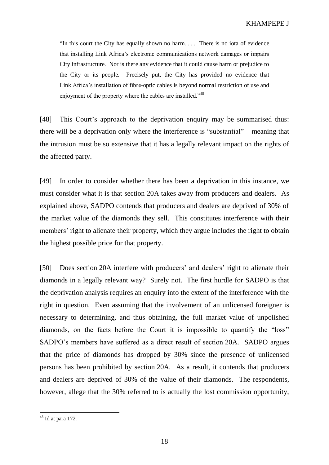"In this court the City has equally shown no harm. . . . There is no iota of evidence that installing Link Africa's electronic communications network damages or impairs City infrastructure. Nor is there any evidence that it could cause harm or prejudice to the City or its people. Precisely put, the City has provided no evidence that Link Africa's installation of fibre-optic cables is beyond normal restriction of use and enjoyment of the property where the cables are installed."<sup>48</sup>

[48] This Court's approach to the deprivation enquiry may be summarised thus: there will be a deprivation only where the interference is "substantial" – meaning that the intrusion must be so extensive that it has a legally relevant impact on the rights of the affected party.

[49] In order to consider whether there has been a deprivation in this instance, we must consider what it is that section 20A takes away from producers and dealers. As explained above, SADPO contends that producers and dealers are deprived of 30% of the market value of the diamonds they sell. This constitutes interference with their members' right to alienate their property, which they argue includes the right to obtain the highest possible price for that property.

[50] Does section 20A interfere with producers' and dealers' right to alienate their diamonds in a legally relevant way? Surely not. The first hurdle for SADPO is that the deprivation analysis requires an enquiry into the extent of the interference with the right in question. Even assuming that the involvement of an unlicensed foreigner is necessary to determining, and thus obtaining, the full market value of unpolished diamonds, on the facts before the Court it is impossible to quantify the "loss" SADPO's members have suffered as a direct result of section 20A. SADPO argues that the price of diamonds has dropped by 30% since the presence of unlicensed persons has been prohibited by section 20A. As a result, it contends that producers and dealers are deprived of 30% of the value of their diamonds. The respondents, however, allege that the 30% referred to is actually the lost commission opportunity,

 $48$  Id at para 172.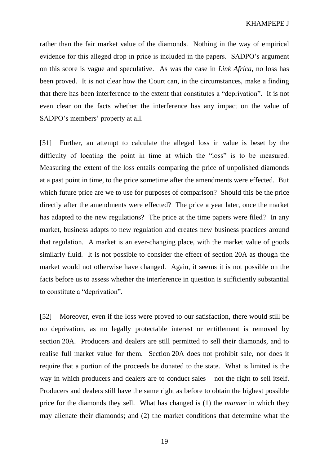rather than the fair market value of the diamonds. Nothing in the way of empirical evidence for this alleged drop in price is included in the papers. SADPO's argument on this score is vague and speculative. As was the case in *Link Africa*, no loss has been proved. It is not clear how the Court can, in the circumstances, make a finding that there has been interference to the extent that constitutes a "deprivation". It is not even clear on the facts whether the interference has any impact on the value of SADPO's members' property at all.

[51] Further, an attempt to calculate the alleged loss in value is beset by the difficulty of locating the point in time at which the "loss" is to be measured. Measuring the extent of the loss entails comparing the price of unpolished diamonds at a past point in time, to the price sometime after the amendments were effected. But which future price are we to use for purposes of comparison? Should this be the price directly after the amendments were effected? The price a year later, once the market has adapted to the new regulations? The price at the time papers were filed? In any market, business adapts to new regulation and creates new business practices around that regulation. A market is an ever-changing place, with the market value of goods similarly fluid. It is not possible to consider the effect of section 20A as though the market would not otherwise have changed. Again, it seems it is not possible on the facts before us to assess whether the interference in question is sufficiently substantial to constitute a "deprivation".

[52] Moreover, even if the loss were proved to our satisfaction, there would still be no deprivation, as no legally protectable interest or entitlement is removed by section 20A. Producers and dealers are still permitted to sell their diamonds, and to realise full market value for them. Section 20A does not prohibit sale, nor does it require that a portion of the proceeds be donated to the state. What is limited is the way in which producers and dealers are to conduct sales – not the right to sell itself. Producers and dealers still have the same right as before to obtain the highest possible price for the diamonds they sell. What has changed is (1) the *manner* in which they may alienate their diamonds; and (2) the market conditions that determine what the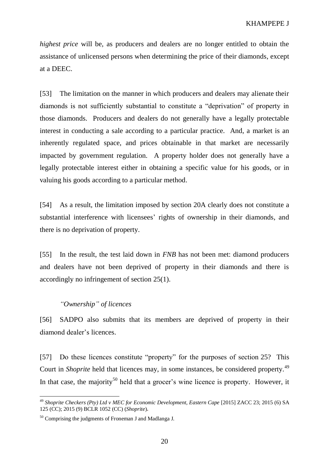*highest price* will be, as producers and dealers are no longer entitled to obtain the assistance of unlicensed persons when determining the price of their diamonds, except at a DEEC.

[53] The limitation on the manner in which producers and dealers may alienate their diamonds is not sufficiently substantial to constitute a "deprivation" of property in those diamonds. Producers and dealers do not generally have a legally protectable interest in conducting a sale according to a particular practice. And, a market is an inherently regulated space, and prices obtainable in that market are necessarily impacted by government regulation. A property holder does not generally have a legally protectable interest either in obtaining a specific value for his goods, or in valuing his goods according to a particular method.

[54] As a result, the limitation imposed by section 20A clearly does not constitute a substantial interference with licensees' rights of ownership in their diamonds, and there is no deprivation of property.

[55] In the result, the test laid down in *FNB* has not been met: diamond producers and dealers have not been deprived of property in their diamonds and there is accordingly no infringement of section 25(1).

## *"Ownership" of licences*

[56] SADPO also submits that its members are deprived of property in their diamond dealer's licences.

[57] Do these licences constitute "property" for the purposes of section 25? This Court in *Shoprite* held that licences may, in some instances, be considered property.<sup>49</sup> In that case, the majority<sup>50</sup> held that a grocer's wine licence is property. However, it

<sup>49</sup> *Shoprite Checkers (Pty) Ltd v MEC for Economic Development, Eastern Cape* [2015] ZACC 23; 2015 (6) SA 125 (CC); 2015 (9) BCLR 1052 (CC) (*Shoprite*)**.**

<sup>50</sup> Comprising the judgments of Froneman J and Madlanga J.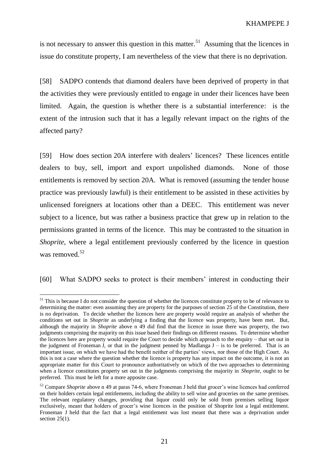is not necessary to answer this question in this matter.<sup>51</sup> Assuming that the licences in issue do constitute property, I am nevertheless of the view that there is no deprivation.

[58] SADPO contends that diamond dealers have been deprived of property in that the activities they were previously entitled to engage in under their licences have been limited. Again, the question is whether there is a substantial interference: is the extent of the intrusion such that it has a legally relevant impact on the rights of the affected party?

[59] How does section 20A interfere with dealers' licences? These licences entitle dealers to buy, sell, import and export unpolished diamonds. None of those entitlements is removed by section 20A. What is removed (assuming the tender house practice was previously lawful) is their entitlement to be assisted in these activities by unlicensed foreigners at locations other than a DEEC. This entitlement was never subject to a licence, but was rather a business practice that grew up in relation to the permissions granted in terms of the licence. This may be contrasted to the situation in *Shoprite*, where a legal entitlement previously conferred by the licence in question was removed.<sup>52</sup>

[60] What SADPO seeks to protect is their members' interest in conducting their

<sup>&</sup>lt;sup>51</sup> This is because I do not consider the question of whether the licences constitute property to be of relevance to determining the matter: even assuming they are property for the purposes of section 25 of the Constitution, there is no deprivation. To decide whether the licences here are property would require an analysis of whether the conditions set out in *Shoprite* as underlying a finding that the licence was property, have been met. But, although the majority in *Shoprite* above n 49 did find that the licence in issue there was property, the two judgments comprising the majority on this issue based their findings on different reasons. To determine whether the licences here are property would require the Court to decide which approach to the enquiry – that set out in the judgment of Froneman J, or that in the judgment penned by Madlanga  $J -$  is to be preferred. That is an important issue, on which we have had the benefit neither of the parties' views, nor those of the High Court. As this is not a case where the question whether the licence is property has any impact on the outcome, it is not an appropriate matter for this Court to pronounce authoritatively on which of the two approaches to determining when a licence constitutes property set out in the judgments comprising the majority in *Shoprite*, ought to be preferred. This must be left for a more apposite case.

<sup>52</sup> Compare *Shoprite* above n 49 at paras 74-6, where Froneman J held that grocer's wine licences had conferred on their holders certain legal entitlements, including the ability to sell wine and groceries on the same premises. The relevant regulatory changes, providing that liquor could only be sold from premises selling liquor exclusively, meant that holders of grocer's wine licences in the position of Shoprite lost a legal entitlement. Froneman J held that the fact that a legal entitlement was lost meant that there was a deprivation under section  $25(1)$ .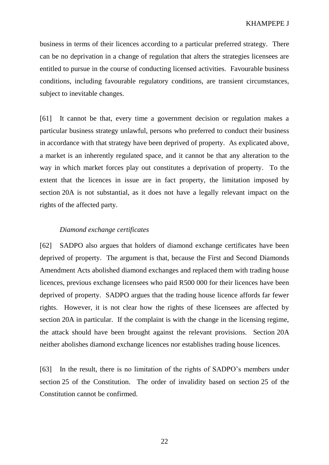business in terms of their licences according to a particular preferred strategy. There can be no deprivation in a change of regulation that alters the strategies licensees are entitled to pursue in the course of conducting licensed activities. Favourable business conditions, including favourable regulatory conditions, are transient circumstances, subject to inevitable changes.

[61] It cannot be that, every time a government decision or regulation makes a particular business strategy unlawful, persons who preferred to conduct their business in accordance with that strategy have been deprived of property. As explicated above, a market is an inherently regulated space, and it cannot be that any alteration to the way in which market forces play out constitutes a deprivation of property. To the extent that the licences in issue are in fact property, the limitation imposed by section 20A is not substantial, as it does not have a legally relevant impact on the rights of the affected party.

### *Diamond exchange certificates*

[62] SADPO also argues that holders of diamond exchange certificates have been deprived of property. The argument is that, because the First and Second Diamonds Amendment Acts abolished diamond exchanges and replaced them with trading house licences, previous exchange licensees who paid R500 000 for their licences have been deprived of property. SADPO argues that the trading house licence affords far fewer rights. However, it is not clear how the rights of these licensees are affected by section 20A in particular. If the complaint is with the change in the licensing regime, the attack should have been brought against the relevant provisions. Section 20A neither abolishes diamond exchange licences nor establishes trading house licences.

[63] In the result, there is no limitation of the rights of SADPO's members under section 25 of the Constitution. The order of invalidity based on section 25 of the Constitution cannot be confirmed.

22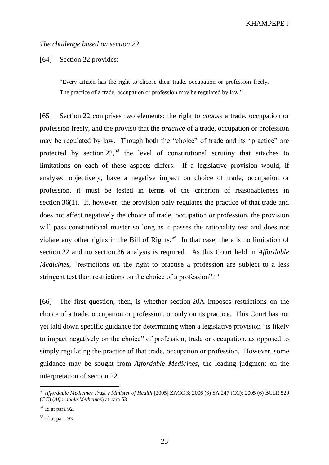### *The challenge based on section 22*

[64] Section 22 provides:

"Every citizen has the right to choose their trade, occupation or profession freely. The practice of a trade, occupation or profession may be regulated by law."

[65] Section 22 comprises two elements: the right to *choose* a trade, occupation or profession freely, and the proviso that the *practice* of a trade, occupation or profession may be regulated by law. Though both the "choice" of trade and its "practice" are protected by section  $22^{53}$  the level of constitutional scrutiny that attaches to limitations on each of these aspects differs. If a legislative provision would, if analysed objectively, have a negative impact on choice of trade, occupation or profession, it must be tested in terms of the criterion of reasonableness in section 36(1). If, however, the provision only regulates the practice of that trade and does not affect negatively the choice of trade, occupation or profession, the provision will pass constitutional muster so long as it passes the rationality test and does not violate any other rights in the Bill of Rights.<sup>54</sup> In that case, there is no limitation of section 22 and no section 36 analysis is required. As this Court held in *Affordable Medicines*, "restrictions on the right to practise a profession are subject to a less stringent test than restrictions on the choice of a profession".<sup>55</sup>

[66] The first question, then, is whether section 20A imposes restrictions on the choice of a trade, occupation or profession, or only on its practice. This Court has not yet laid down specific guidance for determining when a legislative provision "is likely to impact negatively on the choice" of profession, trade or occupation, as opposed to simply regulating the practice of that trade, occupation or profession. However, some guidance may be sought from *Affordable Medicines*, the leading judgment on the interpretation of section 22.

<sup>53</sup> *Affordable Medicines Trust v Minister of Health* [2005] ZACC 3; 2006 (3) SA 247 (CC); 2005 (6) BCLR 529 (CC) (*Affordable Medicines*) at para 63.

 $54$  Id at para 92.

 $55$  Id at para 93.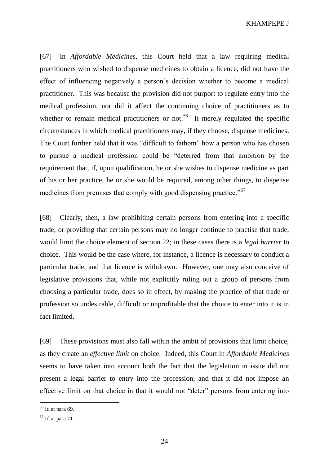[67] In *Affordable Medicines*, this Court held that a law requiring medical practitioners who wished to dispense medicines to obtain a licence, did not have the effect of influencing negatively a person's decision whether to become a medical practitioner. This was because the provision did not purport to regulate entry into the medical profession, nor did it affect the continuing choice of practitioners as to whether to remain medical practitioners or not.<sup>56</sup> It merely regulated the specific circumstances in which medical practitioners may, if they choose, dispense medicines. The Court further held that it was "difficult to fathom" how a person who has chosen to pursue a medical profession could be "deterred from that ambition by the requirement that, if, upon qualification, he or she wishes to dispense medicine as part of his or her practice, he or she would be required, among other things, to dispense medicines from premises that comply with good dispensing practice."<sup>57</sup>

[68] Clearly, then, a law prohibiting certain persons from entering into a specific trade, or providing that certain persons may no longer continue to practise that trade, would limit the choice element of section 22; in these cases there is a *legal barrier* to choice. This would be the case where, for instance, a licence is necessary to conduct a particular trade, and that licence is withdrawn. However, one may also conceive of legislative provisions that, while not explicitly ruling out a group of persons from choosing a particular trade, does so in effect, by making the practice of that trade or profession so undesirable, difficult or unprofitable that the choice to enter into it is in fact limited.

[69] These provisions must also fall within the ambit of provisions that limit choice, as they create an *effective limit* on choice. Indeed, this Court in *Affordable Medicines* seems to have taken into account both the fact that the legislation in issue did not present a legal barrier to entry into the profession, and that it did not impose an effective limit on that choice in that it would not "deter" persons from entering into

 $56$  Id at para 69.

 $57$  Id at para 71.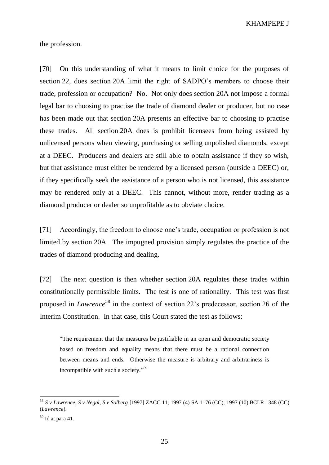the profession.

[70] On this understanding of what it means to limit choice for the purposes of section 22, does section 20A limit the right of SADPO's members to choose their trade, profession or occupation? No. Not only does section 20A not impose a formal legal bar to choosing to practise the trade of diamond dealer or producer, but no case has been made out that section 20A presents an effective bar to choosing to practise these trades. All section 20A does is prohibit licensees from being assisted by unlicensed persons when viewing, purchasing or selling unpolished diamonds, except at a DEEC. Producers and dealers are still able to obtain assistance if they so wish, but that assistance must either be rendered by a licensed person (outside a DEEC) or, if they specifically seek the assistance of a person who is not licensed, this assistance may be rendered only at a DEEC. This cannot, without more, render trading as a diamond producer or dealer so unprofitable as to obviate choice.

[71] Accordingly, the freedom to choose one's trade, occupation or profession is not limited by section 20A. The impugned provision simply regulates the practice of the trades of diamond producing and dealing.

[72] The next question is then whether section 20A regulates these trades within constitutionally permissible limits. The test is one of rationality. This test was first proposed in *Lawrence*<sup>58</sup> in the context of section 22's predecessor, section 26 of the Interim Constitution. In that case, this Court stated the test as follows:

"The requirement that the measures be justifiable in an open and democratic society based on freedom and equality means that there must be a rational connection between means and ends. Otherwise the measure is arbitrary and arbitrariness is incompatible with such a society."<sup>59</sup>

<sup>58</sup> *S v Lawrence, S v Negal, S v Solberg* [1997] ZACC 11; 1997 (4) SA 1176 (CC); 1997 (10) BCLR 1348 (CC) (*Lawrence*).

 $59$  Id at para 41.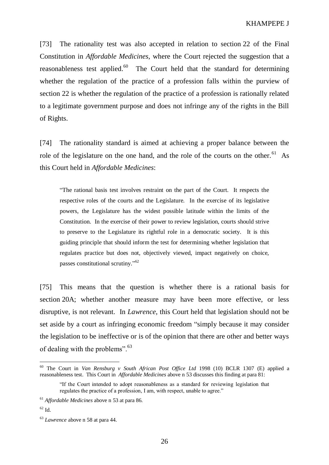[73] The rationality test was also accepted in relation to section 22 of the Final Constitution in *Affordable Medicines*, where the Court rejected the suggestion that a reasonableness test applied.<sup>60</sup> The Court held that the standard for determining whether the regulation of the practice of a profession falls within the purview of section 22 is whether the regulation of the practice of a profession is rationally related to a legitimate government purpose and does not infringe any of the rights in the Bill of Rights.

[74] The rationality standard is aimed at achieving a proper balance between the role of the legislature on the one hand, and the role of the courts on the other.<sup>61</sup> As this Court held in *Affordable Medicines*:

"The rational basis test involves restraint on the part of the Court. It respects the respective roles of the courts and the Legislature. In the exercise of its legislative powers, the Legislature has the widest possible latitude within the limits of the Constitution. In the exercise of their power to review legislation, courts should strive to preserve to the Legislature its rightful role in a democratic society. It is this guiding principle that should inform the test for determining whether legislation that regulates practice but does not, objectively viewed, impact negatively on choice, passes constitutional scrutiny."<sup>62</sup>

[75] This means that the question is whether there is a rational basis for section 20A; whether another measure may have been more effective, or less disruptive, is not relevant. In *Lawrence*, this Court held that legislation should not be set aside by a court as infringing economic freedom "simply because it may consider the legislation to be ineffective or is of the opinion that there are other and better ways of dealing with the problems".<sup>63</sup>

<sup>60</sup> The Court in *Van Rensburg v South African Post Office Ltd* 1998 (10) BCLR 1307 (E) applied a reasonableness test. This Court in *Affordable Medicines* above n 53 discusses this finding at para 81:

<sup>&</sup>quot;If the Court intended to adopt reasonableness as a standard for reviewing legislation that regulates the practice of a profession, I am, with respect, unable to agree."

<sup>61</sup> *Affordable Medicines* above n 53 at para 86.

 $62 \text{ Id.}$ 

<sup>63</sup> *Lawrence* above n 58 at para 44.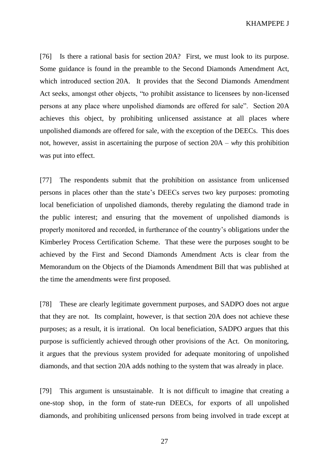[76] Is there a rational basis for section 20A? First, we must look to its purpose. Some guidance is found in the preamble to the Second Diamonds Amendment Act, which introduced section 20A. It provides that the Second Diamonds Amendment Act seeks, amongst other objects, "to prohibit assistance to licensees by non-licensed persons at any place where unpolished diamonds are offered for sale". Section 20A achieves this object, by prohibiting unlicensed assistance at all places where unpolished diamonds are offered for sale, with the exception of the DEECs. This does not, however, assist in ascertaining the purpose of section 20A – *why* this prohibition was put into effect.

[77] The respondents submit that the prohibition on assistance from unlicensed persons in places other than the state's DEECs serves two key purposes: promoting local beneficiation of unpolished diamonds, thereby regulating the diamond trade in the public interest; and ensuring that the movement of unpolished diamonds is properly monitored and recorded, in furtherance of the country's obligations under the Kimberley Process Certification Scheme. That these were the purposes sought to be achieved by the First and Second Diamonds Amendment Acts is clear from the Memorandum on the Objects of the Diamonds Amendment Bill that was published at the time the amendments were first proposed.

[78] These are clearly legitimate government purposes, and SADPO does not argue that they are not. Its complaint, however, is that section 20A does not achieve these purposes; as a result, it is irrational. On local beneficiation, SADPO argues that this purpose is sufficiently achieved through other provisions of the Act. On monitoring, it argues that the previous system provided for adequate monitoring of unpolished diamonds, and that section 20A adds nothing to the system that was already in place.

[79] This argument is unsustainable. It is not difficult to imagine that creating a one-stop shop, in the form of state-run DEECs, for exports of all unpolished diamonds, and prohibiting unlicensed persons from being involved in trade except at

27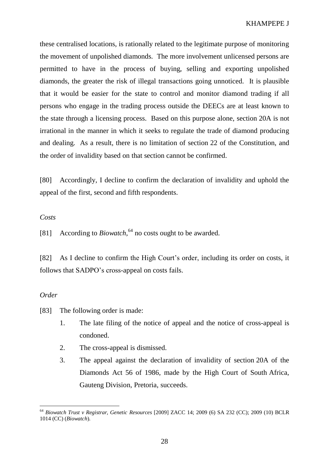these centralised locations, is rationally related to the legitimate purpose of monitoring the movement of unpolished diamonds. The more involvement unlicensed persons are permitted to have in the process of buying, selling and exporting unpolished diamonds, the greater the risk of illegal transactions going unnoticed. It is plausible that it would be easier for the state to control and monitor diamond trading if all persons who engage in the trading process outside the DEECs are at least known to the state through a licensing process. Based on this purpose alone, section 20A is not irrational in the manner in which it seeks to regulate the trade of diamond producing and dealing. As a result, there is no limitation of section 22 of the Constitution, and the order of invalidity based on that section cannot be confirmed.

[80] Accordingly, I decline to confirm the declaration of invalidity and uphold the appeal of the first, second and fifth respondents.

#### *Costs*

[81] According to *Biowatch*,<sup>64</sup> no costs ought to be awarded.

[82] As I decline to confirm the High Court's order, including its order on costs, it follows that SADPO's cross-appeal on costs fails.

# *Order*

 $\overline{a}$ 

[83] The following order is made:

- 1. The late filing of the notice of appeal and the notice of cross-appeal is condoned.
- 2. The cross-appeal is dismissed.
- 3. The appeal against the declaration of invalidity of section 20A of the Diamonds Act 56 of 1986, made by the High Court of South Africa, Gauteng Division, Pretoria, succeeds.

<sup>64</sup> *Biowatch Trust v Registrar, Genetic Resources* [2009] ZACC 14; 2009 (6) SA 232 (CC); 2009 (10) BCLR 1014 (CC) (*Biowatch*)*.*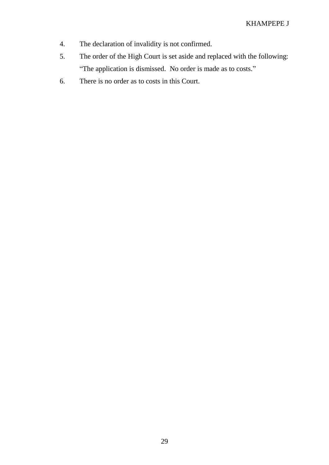- 4. The declaration of invalidity is not confirmed.
- 5. The order of the High Court is set aside and replaced with the following: "The application is dismissed. No order is made as to costs."
- 6. There is no order as to costs in this Court.